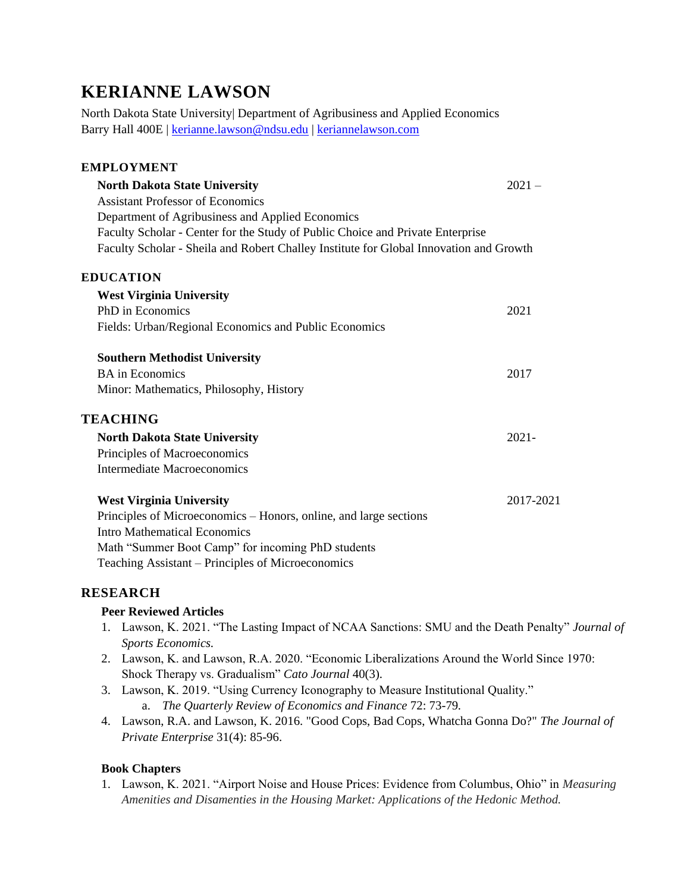# **KERIANNE LAWSON**

North Dakota State University| Department of Agribusiness and Applied Economics Barry Hall 400E | [kerianne.lawson@ndsu.edu](mailto:kerianne.lawson@ndsu.edu) | [keriannelawson.com](https://www.keriannelawson.com/)

| <b>EMPLOYMENT</b>                                                                      |           |
|----------------------------------------------------------------------------------------|-----------|
| <b>North Dakota State University</b>                                                   | $2021 -$  |
| <b>Assistant Professor of Economics</b>                                                |           |
| Department of Agribusiness and Applied Economics                                       |           |
| Faculty Scholar - Center for the Study of Public Choice and Private Enterprise         |           |
| Faculty Scholar - Sheila and Robert Challey Institute for Global Innovation and Growth |           |
| <b>EDUCATION</b>                                                                       |           |
| <b>West Virginia University</b>                                                        |           |
| PhD in Economics                                                                       | 2021      |
| Fields: Urban/Regional Economics and Public Economics                                  |           |
| <b>Southern Methodist University</b>                                                   |           |
| <b>BA</b> in Economics                                                                 | 2017      |
| Minor: Mathematics, Philosophy, History                                                |           |
| <b>TEACHING</b>                                                                        |           |
| <b>North Dakota State University</b>                                                   | $2021 -$  |
| Principles of Macroeconomics                                                           |           |
| Intermediate Macroeconomics                                                            |           |
| <b>West Virginia University</b>                                                        | 2017-2021 |
| Principles of Microeconomics - Honors, online, and large sections                      |           |
| <b>Intro Mathematical Economics</b>                                                    |           |
| Math "Summer Boot Camp" for incoming PhD students                                      |           |
| Teaching Assistant – Principles of Microeconomics                                      |           |

## **RESEARCH**

#### **Peer Reviewed Articles**

- 1. Lawson, K. 2021. "The Lasting Impact of NCAA Sanctions: SMU and the Death Penalty" *Journal of Sports Economics.*
- 2. Lawson, K. and Lawson, R.A. 2020. "Economic Liberalizations Around the World Since 1970: Shock Therapy vs. Gradualism" *Cato Journal* 40(3).
- 3. Lawson, K. 2019. "Using Currency Iconography to Measure Institutional Quality." a. *The Quarterly Review of Economics and Finance* 72: 73-79*.*
- 4. Lawson, R.A. and Lawson, K. 2016. "Good Cops, Bad Cops, Whatcha Gonna Do?" *The Journal of Private Enterprise* 31(4): 85-96.

#### **Book Chapters**

1. Lawson, K. 2021. "Airport Noise and House Prices: Evidence from Columbus, Ohio" in *Measuring Amenities and Disamenties in the Housing Market: Applications of the Hedonic Method.*